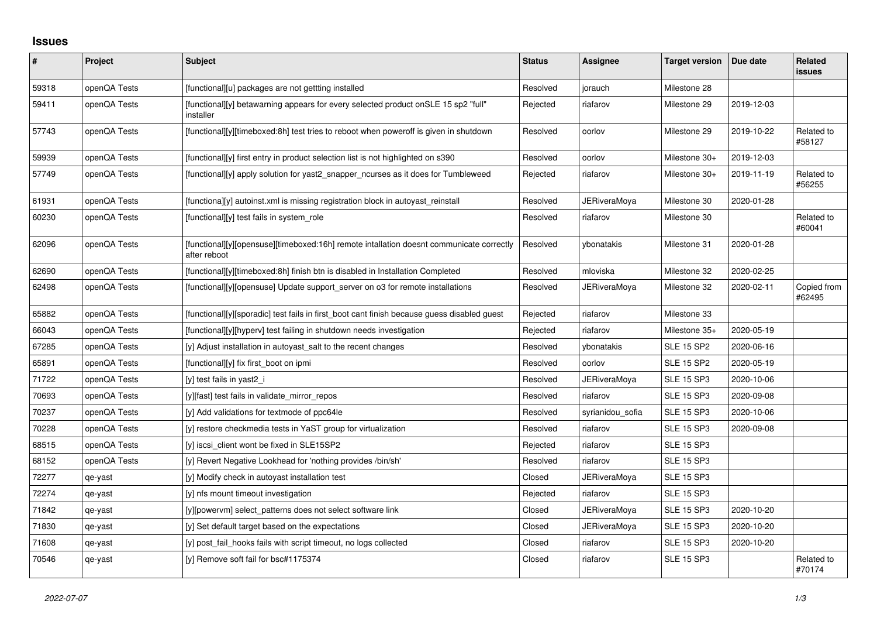## **Issues**

| #     | Project      | <b>Subject</b>                                                                                           | <b>Status</b> | Assignee            | <b>Target version</b> | Due date   | Related<br><b>issues</b> |
|-------|--------------|----------------------------------------------------------------------------------------------------------|---------------|---------------------|-----------------------|------------|--------------------------|
| 59318 | openQA Tests | [functional][u] packages are not gettting installed                                                      | Resolved      | jorauch             | Milestone 28          |            |                          |
| 59411 | openQA Tests | [functional][y] betawarning appears for every selected product onSLE 15 sp2 "full"<br>installer          | Rejected      | riafarov            | Milestone 29          | 2019-12-03 |                          |
| 57743 | openQA Tests | [functional][y][timeboxed:8h] test tries to reboot when poweroff is given in shutdown                    | Resolved      | oorlov              | Milestone 29          | 2019-10-22 | Related to<br>#58127     |
| 59939 | openQA Tests | [functional][y] first entry in product selection list is not highlighted on s390                         | Resolved      | oorlov              | Milestone 30+         | 2019-12-03 |                          |
| 57749 | openQA Tests | $[functional]$ apply solution for yast2 snapper ncurses as it does for Tumbleweed                        | Rejected      | riafarov            | Milestone 30+         | 2019-11-19 | Related to<br>#56255     |
| 61931 | openQA Tests | [functiona][y] autoinst.xml is missing registration block in autoyast reinstall                          | Resolved      | <b>JERiveraMoya</b> | Milestone 30          | 2020-01-28 |                          |
| 60230 | openQA Tests | [functional][y] test fails in system_role                                                                | Resolved      | riafarov            | Milestone 30          |            | Related to<br>#60041     |
| 62096 | openQA Tests | [functional][y][opensuse][timeboxed:16h] remote intallation doesnt communicate correctly<br>after reboot | Resolved      | ybonatakis          | Milestone 31          | 2020-01-28 |                          |
| 62690 | openQA Tests | [functional][y][timeboxed:8h] finish btn is disabled in Installation Completed                           | Resolved      | mloviska            | Milestone 32          | 2020-02-25 |                          |
| 62498 | openQA Tests | [functional][y][opensuse] Update support server on o3 for remote installations                           | Resolved      | <b>JERiveraMoya</b> | Milestone 32          | 2020-02-11 | Copied from<br>#62495    |
| 65882 | openQA Tests | [functional][y][sporadic] test fails in first boot cant finish because guess disabled guest              | Rejected      | riafarov            | Milestone 33          |            |                          |
| 66043 | openQA Tests | [functional][y][hyperv] test failing in shutdown needs investigation                                     | Rejected      | riafarov            | Milestone 35+         | 2020-05-19 |                          |
| 67285 | openQA Tests | [y] Adjust installation in autoyast salt to the recent changes                                           | Resolved      | vbonatakis          | <b>SLE 15 SP2</b>     | 2020-06-16 |                          |
| 65891 | openQA Tests | [functional][y] fix first boot on ipmi                                                                   | Resolved      | oorlov              | <b>SLE 15 SP2</b>     | 2020-05-19 |                          |
| 71722 | openQA Tests | [y] test fails in yast2_i                                                                                | Resolved      | <b>JERiveraMoya</b> | <b>SLE 15 SP3</b>     | 2020-10-06 |                          |
| 70693 | openQA Tests | [y][fast] test fails in validate mirror repos                                                            | Resolved      | riafarov            | <b>SLE 15 SP3</b>     | 2020-09-08 |                          |
| 70237 | openQA Tests | [y] Add validations for textmode of ppc64le                                                              | Resolved      | syrianidou sofia    | <b>SLE 15 SP3</b>     | 2020-10-06 |                          |
| 70228 | openQA Tests | [y] restore checkmedia tests in YaST group for virtualization                                            | Resolved      | riafarov            | <b>SLE 15 SP3</b>     | 2020-09-08 |                          |
| 68515 | openQA Tests | [y] iscsi client wont be fixed in SLE15SP2                                                               | Rejected      | riafarov            | <b>SLE 15 SP3</b>     |            |                          |
| 68152 | openQA Tests | [y] Revert Negative Lookhead for 'nothing provides /bin/sh'                                              | Resolved      | riafarov            | <b>SLE 15 SP3</b>     |            |                          |
| 72277 | qe-yast      | [y] Modify check in autoyast installation test                                                           | Closed        | <b>JERiveraMoya</b> | <b>SLE 15 SP3</b>     |            |                          |
| 72274 | qe-yast      | [y] nfs mount timeout investigation                                                                      | Rejected      | riafarov            | <b>SLE 15 SP3</b>     |            |                          |
| 71842 | qe-yast      | [y][powervm] select patterns does not select software link                                               | Closed        | <b>JERiveraMoya</b> | <b>SLE 15 SP3</b>     | 2020-10-20 |                          |
| 71830 | qe-yast      | [y] Set default target based on the expectations                                                         | Closed        | <b>JERiveraMoya</b> | <b>SLE 15 SP3</b>     | 2020-10-20 |                          |
| 71608 | qe-yast      | [y] post fail hooks fails with script timeout, no logs collected                                         | Closed        | riafarov            | <b>SLE 15 SP3</b>     | 2020-10-20 |                          |
| 70546 | qe-yast      | [y] Remove soft fail for bsc#1175374                                                                     | Closed        | riafarov            | <b>SLE 15 SP3</b>     |            | Related to<br>#70174     |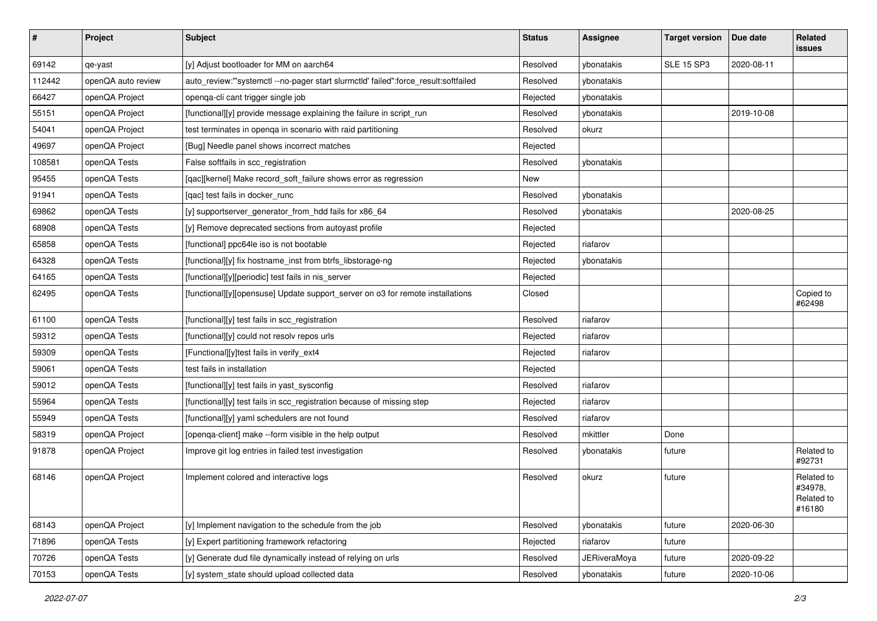| $\sharp$ | Project            | <b>Subject</b>                                                                      | <b>Status</b> | <b>Assignee</b>     | <b>Target version</b> | Due date   | Related<br>issues                             |
|----------|--------------------|-------------------------------------------------------------------------------------|---------------|---------------------|-----------------------|------------|-----------------------------------------------|
| 69142    | qe-yast            | [y] Adjust bootloader for MM on aarch64                                             | Resolved      | ybonatakis          | <b>SLE 15 SP3</b>     | 2020-08-11 |                                               |
| 112442   | openQA auto review | auto_review:"'systemctl --no-pager start slurmctld' failed":force_result:softfailed | Resolved      | ybonatakis          |                       |            |                                               |
| 66427    | openQA Project     | openqa-cli cant trigger single job                                                  | Rejected      | ybonatakis          |                       |            |                                               |
| 55151    | openQA Project     | [functional][y] provide message explaining the failure in script_run                | Resolved      | ybonatakis          |                       | 2019-10-08 |                                               |
| 54041    | openQA Project     | test terminates in openga in scenario with raid partitioning                        | Resolved      | okurz               |                       |            |                                               |
| 49697    | openQA Project     | [Bug] Needle panel shows incorrect matches                                          | Rejected      |                     |                       |            |                                               |
| 108581   | openQA Tests       | False softfails in scc_registration                                                 | Resolved      | ybonatakis          |                       |            |                                               |
| 95455    | openQA Tests       | [qac][kernel] Make record_soft_failure shows error as regression                    | New           |                     |                       |            |                                               |
| 91941    | openQA Tests       | [qac] test fails in docker_runc                                                     | Resolved      | ybonatakis          |                       |            |                                               |
| 69862    | openQA Tests       | [y] supportserver_generator_from_hdd fails for x86_64                               | Resolved      | ybonatakis          |                       | 2020-08-25 |                                               |
| 68908    | openQA Tests       | [y] Remove deprecated sections from autoyast profile                                | Rejected      |                     |                       |            |                                               |
| 65858    | openQA Tests       | [functional] ppc64le iso is not bootable                                            | Rejected      | riafarov            |                       |            |                                               |
| 64328    | openQA Tests       | [functional][y] fix hostname_inst from btrfs_libstorage-ng                          | Rejected      | ybonatakis          |                       |            |                                               |
| 64165    | openQA Tests       | [functional][y][periodic] test fails in nis_server                                  | Rejected      |                     |                       |            |                                               |
| 62495    | openQA Tests       | [functional][y][opensuse] Update support_server on o3 for remote installations      | Closed        |                     |                       |            | Copied to<br>#62498                           |
| 61100    | openQA Tests       | [functional][y] test fails in scc_registration                                      | Resolved      | riafarov            |                       |            |                                               |
| 59312    | openQA Tests       | [functional][y] could not resolv repos urls                                         | Rejected      | riafarov            |                       |            |                                               |
| 59309    | openQA Tests       | [Functional][y]test fails in verify_ext4                                            | Rejected      | riafarov            |                       |            |                                               |
| 59061    | openQA Tests       | test fails in installation                                                          | Rejected      |                     |                       |            |                                               |
| 59012    | openQA Tests       | [functional][y] test fails in yast_sysconfig                                        | Resolved      | riafarov            |                       |            |                                               |
| 55964    | openQA Tests       | [functional][y] test fails in scc_registration because of missing step              | Rejected      | riafarov            |                       |            |                                               |
| 55949    | openQA Tests       | [functional][y] yaml schedulers are not found                                       | Resolved      | riafarov            |                       |            |                                               |
| 58319    | openQA Project     | [openqa-client] make --form visible in the help output                              | Resolved      | mkittler            | Done                  |            |                                               |
| 91878    | openQA Project     | Improve git log entries in failed test investigation                                | Resolved      | ybonatakis          | future                |            | Related to<br>#92731                          |
| 68146    | openQA Project     | Implement colored and interactive logs                                              | Resolved      | okurz               | future                |            | Related to<br>#34978,<br>Related to<br>#16180 |
| 68143    | openQA Project     | [y] Implement navigation to the schedule from the job                               | Resolved      | ybonatakis          | future                | 2020-06-30 |                                               |
| 71896    | openQA Tests       | [y] Expert partitioning framework refactoring                                       | Rejected      | riafarov            | future                |            |                                               |
| 70726    | openQA Tests       | [y] Generate dud file dynamically instead of relying on urls                        | Resolved      | <b>JERiveraMoya</b> | future                | 2020-09-22 |                                               |
| 70153    | openQA Tests       | [y] system_state should upload collected data                                       | Resolved      | ybonatakis          | future                | 2020-10-06 |                                               |